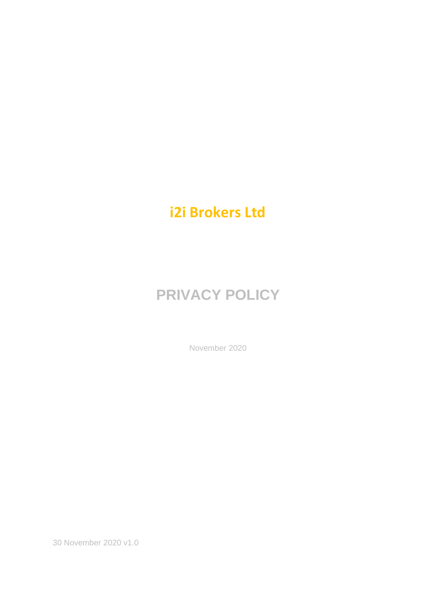# **i2i Brokers Ltd**

# **PRIVACY POLICY**

November 2020

30 November 2020 v1.0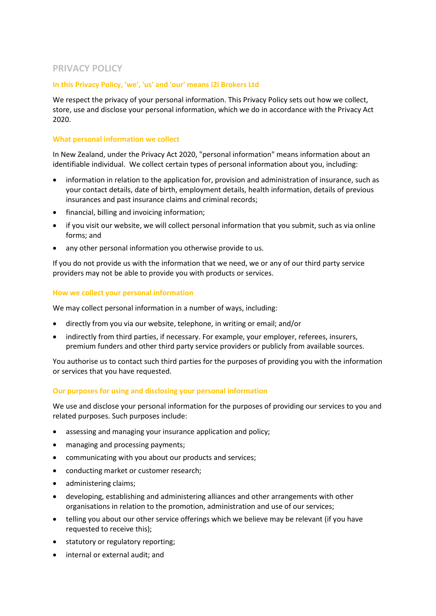# **PRIVACY POLICY**

# **In this Privacy Policy, 'we', 'us' and 'our' means i2i Brokers Ltd**

We respect the privacy of your personal information. This Privacy Policy sets out how we collect, store, use and disclose your personal information, which we do in accordance with the Privacy Act 2020.

#### **What personal information we collect**

In New Zealand, under the Privacy Act 2020, "personal information" means information about an identifiable individual. We collect certain types of personal information about you, including:

- information in relation to the application for, provision and administration of insurance, such as your contact details, date of birth, employment details, health information, details of previous insurances and past insurance claims and criminal records;
- financial, billing and invoicing information;
- if you visit our website, we will collect personal information that you submit, such as via online forms; and
- any other personal information you otherwise provide to us.

If you do not provide us with the information that we need, we or any of our third party service providers may not be able to provide you with products or services.

# **How we collect your personal information**

We may collect personal information in a number of ways, including:

- directly from you via our website, telephone, in writing or email; and/or
- indirectly from third parties, if necessary. For example, your employer, referees, insurers, premium funders and other third party service providers or publicly from available sources.

You authorise us to contact such third parties for the purposes of providing you with the information or services that you have requested.

# **Our purposes for using and disclosing your personal information**

We use and disclose your personal information for the purposes of providing our services to you and related purposes. Such purposes include:

- assessing and managing your insurance application and policy;
- managing and processing payments;
- communicating with you about our products and services;
- conducting market or customer research;
- administering claims;
- developing, establishing and administering alliances and other arrangements with other organisations in relation to the promotion, administration and use of our services;
- telling you about our other service offerings which we believe may be relevant (if you have requested to receive this);
- statutory or regulatory reporting;
- internal or external audit; and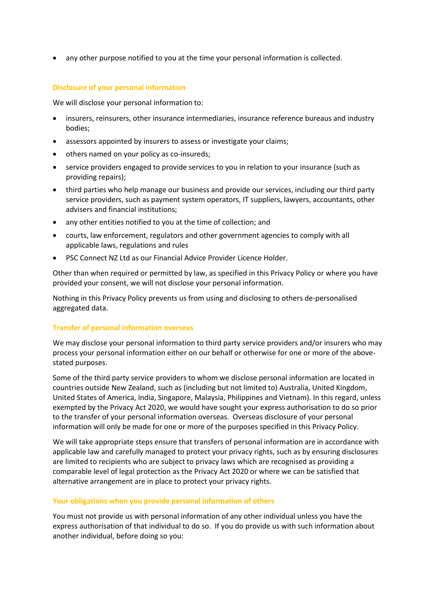any other purpose notified to you at the time your personal information is collected.

# **Disclosure of your personal information**

We will disclose your personal information to:

- insurers, reinsurers, other insurance intermediaries, insurance reference bureaus and industry bodies;
- assessors appointed by insurers to assess or investigate your claims;
- others named on your policy as co-insureds;
- service providers engaged to provide services to you in relation to your insurance (such as providing repairs);
- third parties who help manage our business and provide our services, including our third party service providers, such as payment system operators, IT suppliers, lawyers, accountants, other advisers and financial institutions;
- any other entities notified to you at the time of collection; and
- courts, law enforcement, regulators and other government agencies to comply with all applicable laws, regulations and rules
- PSC Connect NZ Ltd as our Financial Advice Provider Licence Holder.

Other than when required or permitted by law, as specified in this Privacy Policy or where you have provided your consent, we will not disclose your personal information.

Nothing in this Privacy Policy prevents us from using and disclosing to others de-personalised aggregated data.

# **Transfer of personal information overseas**

We may disclose your personal information to third party service providers and/or insurers who may process your personal information either on our behalf or otherwise for one or more of the abovestated purposes.

Some of the third party service providers to whom we disclose personal information are located in countries outside New Zealand, such as (including but not limited to) Australia, United Kingdom, United States of America, India, Singapore, Malaysia, Philippines and Vietnam). In this regard, unless exempted by the Privacy Act 2020, we would have sought your express authorisation to do so prior to the transfer of your personal information overseas. Overseas disclosure of your personal information will only be made for one or more of the purposes specified in this Privacy Policy.

We will take appropriate steps ensure that transfers of personal information are in accordance with applicable law and carefully managed to protect your privacy rights, such as by ensuring disclosures are limited to recipients who are subject to privacy laws which are recognised as providing a comparable level of legal protection as the Privacy Act 2020 or where we can be satisfied that alternative arrangement are in place to protect your privacy rights.

# **Your obligations when you provide personal information of others**

You must not provide us with personal information of any other individual unless you have the express authorisation of that individual to do so. If you do provide us with such information about another individual, before doing so you: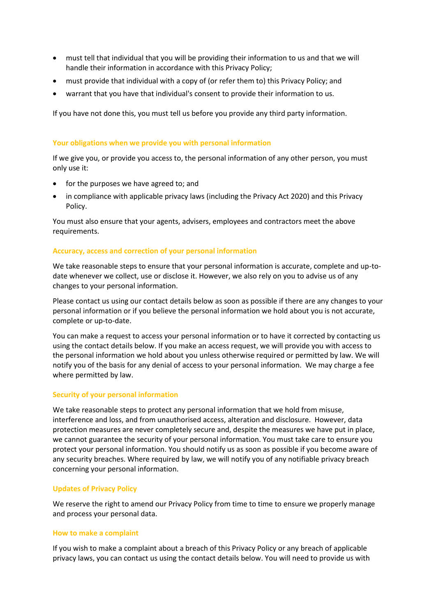- must tell that individual that you will be providing their information to us and that we will handle their information in accordance with this Privacy Policy;
- must provide that individual with a copy of (or refer them to) this Privacy Policy; and
- warrant that you have that individual's consent to provide their information to us.

If you have not done this, you must tell us before you provide any third party information.

#### **Your obligations when we provide you with personal information**

If we give you, or provide you access to, the personal information of any other person, you must only use it:

- for the purposes we have agreed to; and
- in compliance with applicable privacy laws (including the Privacy Act 2020) and this Privacy Policy.

You must also ensure that your agents, advisers, employees and contractors meet the above requirements.

#### **Accuracy, access and correction of your personal information**

We take reasonable steps to ensure that your personal information is accurate, complete and up-todate whenever we collect, use or disclose it. However, we also rely on you to advise us of any changes to your personal information.

Please contact us using our contact details below as soon as possible if there are any changes to your personal information or if you believe the personal information we hold about you is not accurate, complete or up-to-date.

You can make a request to access your personal information or to have it corrected by contacting us using the contact details below. If you make an access request, we will provide you with access to the personal information we hold about you unless otherwise required or permitted by law. We will notify you of the basis for any denial of access to your personal information. We may charge a fee where permitted by law.

#### **Security of your personal information**

We take reasonable steps to protect any personal information that we hold from misuse, interference and loss, and from unauthorised access, alteration and disclosure. However, data protection measures are never completely secure and, despite the measures we have put in place, we cannot guarantee the security of your personal information. You must take care to ensure you protect your personal information. You should notify us as soon as possible if you become aware of any security breaches. Where required by law, we will notify you of any notifiable privacy breach concerning your personal information.

#### **Updates of Privacy Policy**

We reserve the right to amend our Privacy Policy from time to time to ensure we properly manage and process your personal data.

#### **How to make a complaint**

If you wish to make a complaint about a breach of this Privacy Policy or any breach of applicable privacy laws, you can contact us using the contact details below. You will need to provide us with